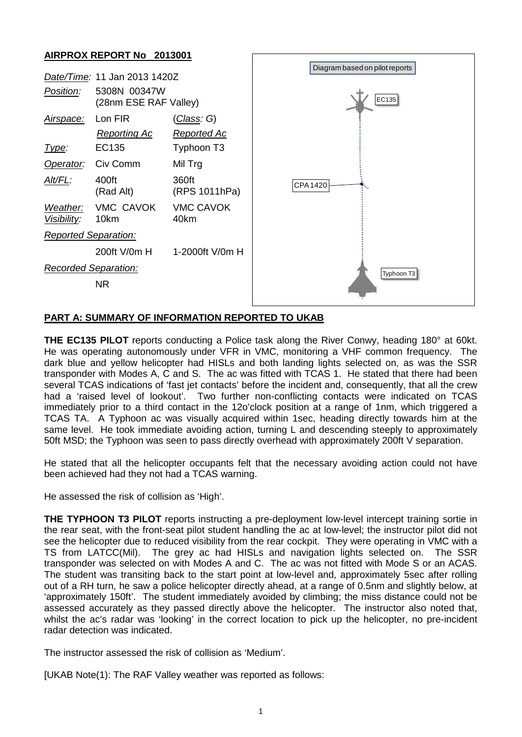## **AIRPROX REPORT No 2013001**



## **PART A: SUMMARY OF INFORMATION REPORTED TO UKAB**

**THE EC135 PILOT** reports conducting a Police task along the River Conwy, heading 180° at 60kt. He was operating autonomously under VFR in VMC, monitoring a VHF common frequency. The dark blue and yellow helicopter had HISLs and both landing lights selected on, as was the SSR transponder with Modes A, C and S. The ac was fitted with TCAS 1. He stated that there had been several TCAS indications of 'fast jet contacts' before the incident and, consequently, that all the crew had a 'raised level of lookout'. Two further non-conflicting contacts were indicated on TCAS immediately prior to a third contact in the 12o'clock position at a range of 1nm, which triggered a TCAS TA. A Typhoon ac was visually acquired within 1sec, heading directly towards him at the same level. He took immediate avoiding action, turning L and descending steeply to approximately 50ft MSD; the Typhoon was seen to pass directly overhead with approximately 200ft V separation.

He stated that all the helicopter occupants felt that the necessary avoiding action could not have been achieved had they not had a TCAS warning.

He assessed the risk of collision as 'High'.

**THE TYPHOON T3 PILOT** reports instructing a pre-deployment low-level intercept training sortie in the rear seat, with the front-seat pilot student handling the ac at low-level; the instructor pilot did not see the helicopter due to reduced visibility from the rear cockpit. They were operating in VMC with a TS from LATCC(Mil). The grey ac had HISLs and navigation lights selected on. The SSR transponder was selected on with Modes A and C. The ac was not fitted with Mode S or an ACAS. The student was transiting back to the start point at low-level and, approximately 5sec after rolling out of a RH turn, he saw a police helicopter directly ahead, at a range of 0.5nm and slightly below, at 'approximately 150ft'. The student immediately avoided by climbing; the miss distance could not be assessed accurately as they passed directly above the helicopter. The instructor also noted that, whilst the ac's radar was 'looking' in the correct location to pick up the helicopter, no pre-incident radar detection was indicated.

The instructor assessed the risk of collision as 'Medium'.

[UKAB Note(1): The RAF Valley weather was reported as follows: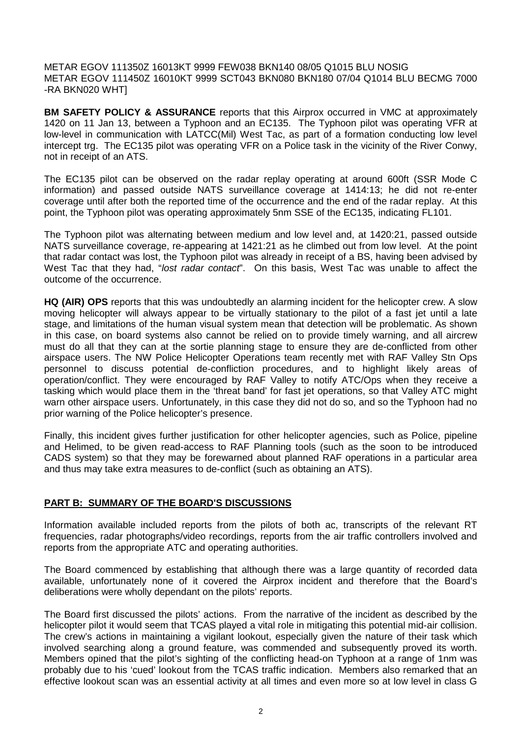METAR EGOV 111350Z 16013KT 9999 FEW038 BKN140 08/05 Q1015 BLU NOSIG METAR EGOV 111450Z 16010KT 9999 SCT043 BKN080 BKN180 07/04 Q1014 BLU BECMG 7000 -RA BKN020 WHT]

**BM SAFETY POLICY & ASSURANCE** reports that this Airprox occurred in VMC at approximately 1420 on 11 Jan 13, between a Typhoon and an EC135. The Typhoon pilot was operating VFR at low-level in communication with LATCC(Mil) West Tac, as part of a formation conducting low level intercept trg. The EC135 pilot was operating VFR on a Police task in the vicinity of the River Conwy, not in receipt of an ATS.

The EC135 pilot can be observed on the radar replay operating at around 600ft (SSR Mode C information) and passed outside NATS surveillance coverage at 1414:13; he did not re-enter coverage until after both the reported time of the occurrence and the end of the radar replay. At this point, the Typhoon pilot was operating approximately 5nm SSE of the EC135, indicating FL101.

The Typhoon pilot was alternating between medium and low level and, at 1420:21, passed outside NATS surveillance coverage, re-appearing at 1421:21 as he climbed out from low level. At the point that radar contact was lost, the Typhoon pilot was already in receipt of a BS, having been advised by West Tac that they had, "*lost radar contact*". On this basis, West Tac was unable to affect the outcome of the occurrence.

**HQ (AIR) OPS** reports that this was undoubtedly an alarming incident for the helicopter crew. A slow moving helicopter will always appear to be virtually stationary to the pilot of a fast jet until a late stage, and limitations of the human visual system mean that detection will be problematic. As shown in this case, on board systems also cannot be relied on to provide timely warning, and all aircrew must do all that they can at the sortie planning stage to ensure they are de-conflicted from other airspace users. The NW Police Helicopter Operations team recently met with RAF Valley Stn Ops personnel to discuss potential de-confliction procedures, and to highlight likely areas of operation/conflict. They were encouraged by RAF Valley to notify ATC/Ops when they receive a tasking which would place them in the 'threat band' for fast jet operations, so that Valley ATC might warn other airspace users. Unfortunately, in this case they did not do so, and so the Typhoon had no prior warning of the Police helicopter's presence.

Finally, this incident gives further justification for other helicopter agencies, such as Police, pipeline and Helimed, to be given read-access to RAF Planning tools (such as the soon to be introduced CADS system) so that they may be forewarned about planned RAF operations in a particular area and thus may take extra measures to de-conflict (such as obtaining an ATS).

## **PART B: SUMMARY OF THE BOARD'S DISCUSSIONS**

Information available included reports from the pilots of both ac, transcripts of the relevant RT frequencies, radar photographs/video recordings, reports from the air traffic controllers involved and reports from the appropriate ATC and operating authorities.

The Board commenced by establishing that although there was a large quantity of recorded data available, unfortunately none of it covered the Airprox incident and therefore that the Board's deliberations were wholly dependant on the pilots' reports.

The Board first discussed the pilots' actions. From the narrative of the incident as described by the helicopter pilot it would seem that TCAS played a vital role in mitigating this potential mid-air collision. The crew's actions in maintaining a vigilant lookout, especially given the nature of their task which involved searching along a ground feature, was commended and subsequently proved its worth. Members opined that the pilot's sighting of the conflicting head-on Typhoon at a range of 1nm was probably due to his 'cued' lookout from the TCAS traffic indication. Members also remarked that an effective lookout scan was an essential activity at all times and even more so at low level in class G